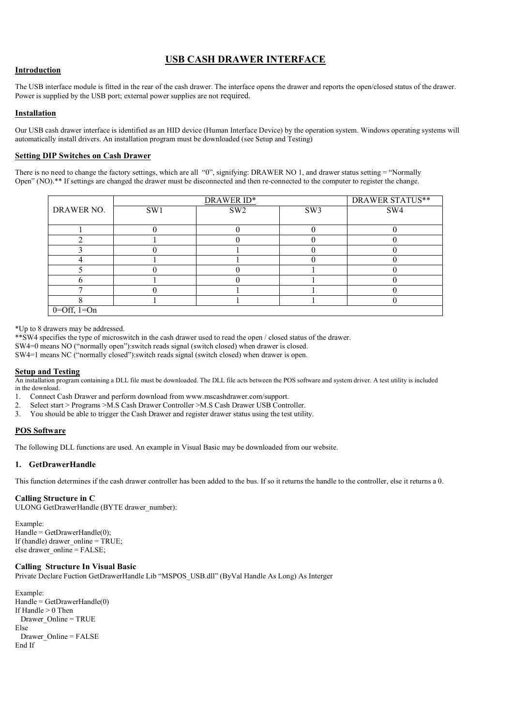# USB CASH DRAWER INTERFACE

# **Introduction**

The USB interface module is fitted in the rear of the cash drawer. The interface opens the drawer and reports the open/closed status of the drawer. Power is supplied by the USB port; external power supplies are not required.

# Installation

Our USB cash drawer interface is identified as an HID device (Human Interface Device) by the operation system. Windows operating systems will automatically install drivers. An installation program must be downloaded (see Setup and Testing)

# Setting DIP Switches on Cash Drawer

There is no need to change the factory settings, which are all "0", signifying: DRAWER NO 1, and drawer status setting = "Normally Open" (NO).\*\* If settings are changed the drawer must be disconnected and then re-connected to the computer to register the change.

|                   | DRAWER ID* |                 |                 | <b>DRAWER STATUS**</b> |
|-------------------|------------|-----------------|-----------------|------------------------|
| DRAWER NO.        | SW1        | SW <sub>2</sub> | SW <sub>3</sub> | SW4                    |
|                   |            |                 |                 |                        |
|                   |            |                 |                 |                        |
|                   |            |                 |                 |                        |
|                   |            |                 |                 |                        |
|                   |            |                 |                 |                        |
|                   |            |                 |                 |                        |
|                   |            |                 |                 |                        |
|                   |            |                 |                 |                        |
|                   |            |                 |                 |                        |
| $0=$ Off, $1=$ On |            |                 |                 |                        |

\*Up to 8 drawers may be addressed.

\*\*SW4 specifies the type of microswitch in the cash drawer used to read the open / closed status of the drawer.

SW4=0 means NO ("normally open"):switch reads signal (switch closed) when drawer is closed.

SW4=1 means NC ("normally closed"):switch reads signal (switch closed) when drawer is open.

# Setup and Testing

An installation program containing a DLL file must be downloaded. The DLL file acts between the POS software and system driver. A test utility is included in the download.

1. Connect Cash Drawer and perform download from www.mscashdrawer.com/support.

- 2. Select start > Programs >M.S Cash Drawer Controller >M.S Cash Drawer USB Controller.
- 3. You should be able to trigger the Cash Drawer and register drawer status using the test utility.

# POS Software

The following DLL functions are used. An example in Visual Basic may be downloaded from our website.

# 1. GetDrawerHandle

This function determines if the cash drawer controller has been added to the bus. If so it returns the handle to the controller, else it returns a 0.

#### Calling Structure in C

ULONG GetDrawerHandle (BYTE drawer\_number):

Example:  $Handle = GetDrawerHandle(0);$ If (handle) drawer\_online =  $TRUE$ ; else drawer\_online = FALSE;

# Calling Structure In Visual Basic

Private Declare Fuction GetDrawerHandle Lib "MSPOS\_USB.dll" (ByVal Handle As Long) As Interger

```
Example: 
Handle = GetDrawerHandle(0)If Handle > 0 Then
  Drawer_Online = TRUE 
Else 
  Drawer_Online = FALSE
End If
```